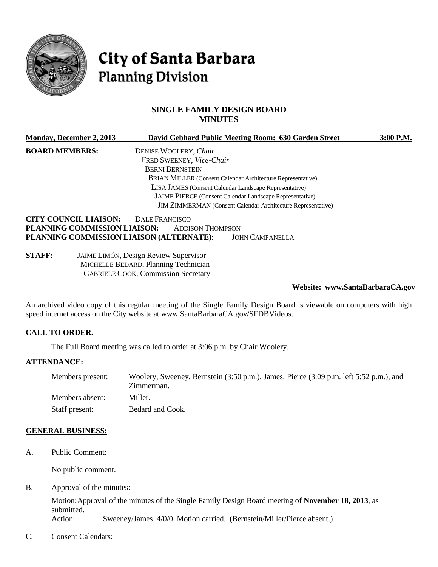

# City of Santa Barbara **Planning Division**

# **SINGLE FAMILY DESIGN BOARD MINUTES**

|                       | Monday, December 2, 2013                               |                                                                 | David Gebhard Public Meeting Room: 630 Garden Street               | 3:00 P.M. |
|-----------------------|--------------------------------------------------------|-----------------------------------------------------------------|--------------------------------------------------------------------|-----------|
| <b>BOARD MEMBERS:</b> |                                                        | DENISE WOOLERY, Chair                                           |                                                                    |           |
|                       |                                                        | FRED SWEENEY, Vice-Chair                                        |                                                                    |           |
|                       |                                                        | <b>BERNI BERNSTEIN</b>                                          |                                                                    |           |
|                       |                                                        |                                                                 | <b>BRIAN MILLER (Consent Calendar Architecture Representative)</b> |           |
|                       | LISA JAMES (Consent Calendar Landscape Representative) |                                                                 |                                                                    |           |
|                       |                                                        | <b>JAIME PIERCE</b> (Consent Calendar Landscape Representative) |                                                                    |           |
|                       |                                                        |                                                                 | JIM ZIMMERMAN (Consent Calendar Architecture Representative)       |           |
|                       | <b>CITY COUNCIL LIAISON:</b>                           | DALE FRANCISCO                                                  |                                                                    |           |
|                       | PLANNING COMMISSION LIAISON:                           | <b>ADDISON THOMPSON</b>                                         |                                                                    |           |
|                       |                                                        | PLANNING COMMISSION LIAISON (ALTERNATE):                        | <b>JOHN CAMPANELLA</b>                                             |           |
| <b>STAFF:</b>         |                                                        | <b>JAIME LIMÓN, Design Review Supervisor</b>                    |                                                                    |           |
|                       |                                                        | MICHELLE BEDARD, Planning Technician                            |                                                                    |           |
|                       |                                                        | <b>GABRIELE COOK, Commission Secretary</b>                      |                                                                    |           |
|                       |                                                        |                                                                 | Website: www.SantaBarbaraCA.gov                                    |           |

An archived video copy of this regular meeting of the Single Family Design Board is viewable on computers with high speed internet access on the City website at [www.SantaBarbaraCA.gov/SFDBVideos.](http://www.santabarbaraca.gov/SFDBVideos)

# **CALL TO ORDER.**

The Full Board meeting was called to order at 3:06 p.m. by Chair Woolery.

# **ATTENDANCE:**

| Members present: | Woolery, Sweeney, Bernstein (3:50 p.m.), James, Pierce (3:09 p.m. left 5:52 p.m.), and<br>Zimmerman. |
|------------------|------------------------------------------------------------------------------------------------------|
| Members absent:  | Miller.                                                                                              |
| Staff present:   | Bedard and Cook.                                                                                     |

#### **GENERAL BUSINESS:**

A. Public Comment:

No public comment.

B. Approval of the minutes:

Motion:Approval of the minutes of the Single Family Design Board meeting of **November 18, 2013**, as submitted. Action: Sweeney/James, 4/0/0. Motion carried. (Bernstein/Miller/Pierce absent.)

C. Consent Calendars: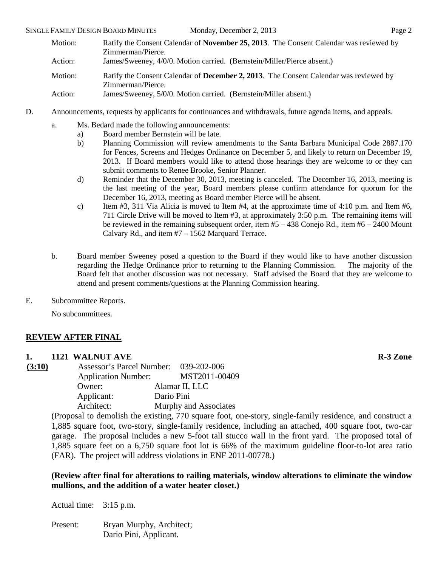- Motion: Ratify the Consent Calendar of **November 25, 2013**. The Consent Calendar was reviewed by Zimmerman/Pierce. Action: James/Sweeney, 4/0/0. Motion carried. (Bernstein/Miller/Pierce absent.) Motion: Ratify the Consent Calendar of **December 2, 2013**. The Consent Calendar was reviewed by Zimmerman/Pierce. Action: James/Sweeney, 5/0/0. Motion carried. (Bernstein/Miller absent.)
- D. Announcements, requests by applicants for continuances and withdrawals, future agenda items, and appeals.
	- a. Ms. Bedard made the following announcements:
		- a) Board member Bernstein will be late.
		- b) Planning Commission will review amendments to the Santa Barbara Municipal Code 2887.170 for Fences, Screens and Hedges Ordinance on December 5, and likely to return on December 19, 2013. If Board members would like to attend those hearings they are welcome to or they can submit comments to Renee Brooke, Senior Planner.
		- d) Reminder that the December 30, 2013, meeting is canceled. The December 16, 2013, meeting is the last meeting of the year, Board members please confirm attendance for quorum for the December 16, 2013, meeting as Board member Pierce will be absent.
		- c) Item  $\#3$ , 311 Via Alicia is moved to Item  $\#4$ , at the approximate time of 4:10 p.m. and Item  $\#6$ , 711 Circle Drive will be moved to Item #3, at approximately 3:50 p.m. The remaining items will be reviewed in the remaining subsequent order, item #5 – 438 Conejo Rd., item #6 – 2400 Mount Calvary Rd., and item #7 – 1562 Marquard Terrace.
	- b. Board member Sweeney posed a question to the Board if they would like to have another discussion regarding the Hedge Ordinance prior to returning to the Planning Commission. The majority of the Board felt that another discussion was not necessary. Staff advised the Board that they are welcome to attend and present comments/questions at the Planning Commission hearing.
- E. Subcommittee Reports.

No subcommittees.

# **REVIEW AFTER FINAL**

# **1. 1121 WALNUT AVE R-3 Zone**

**(3:10)** Assessor's Parcel Number: 039-202-006 Application Number: MST2011-00409<br>Owner: Alamar II, LLC Alamar II, LLC Applicant: Dario Pini Architect: Murphy and Associates

> (Proposal to demolish the existing, 770 square foot, one-story, single-family residence, and construct a 1,885 square foot, two-story, single-family residence, including an attached, 400 square foot, two-car garage. The proposal includes a new 5-foot tall stucco wall in the front yard. The proposed total of 1,885 square feet on a 6,750 square foot lot is 66% of the maximum guideline floor-to-lot area ratio (FAR). The project will address violations in ENF 2011-00778.)

# **(Review after final for alterations to railing materials, window alterations to eliminate the window mullions, and the addition of a water heater closet.)**

Actual time: 3:15 p.m.

Present: Bryan Murphy, Architect; Dario Pini, Applicant.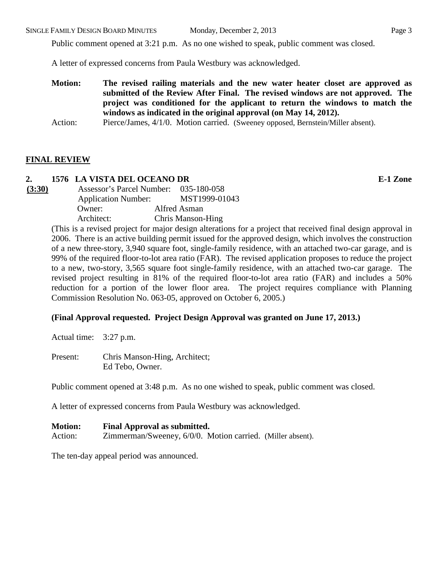Public comment opened at 3:21 p.m. As no one wished to speak, public comment was closed.

A letter of expressed concerns from Paula Westbury was acknowledged.

**Motion: The revised railing materials and the new water heater closet are approved as submitted of the Review After Final. The revised windows are not approved. The project was conditioned for the applicant to return the windows to match the windows as indicated in the original approval (on May 14, 2012).**

# **FINAL REVIEW**

# **2. 1576 LA VISTA DEL OCEANO DR E-1 Zone**

**(3:30)** Assessor's Parcel Number: 035-180-058 Application Number: MST1999-01043 Owner: Alfred Asman Architect: Chris Manson-Hing

(This is a revised project for major design alterations for a project that received final design approval in 2006. There is an active building permit issued for the approved design, which involves the construction of a new three-story, 3,940 square foot, single-family residence, with an attached two-car garage, and is 99% of the required floor-to-lot area ratio (FAR). The revised application proposes to reduce the project to a new, two-story, 3,565 square foot single-family residence, with an attached two-car garage. The revised project resulting in 81% of the required floor-to-lot area ratio (FAR) and includes a 50% reduction for a portion of the lower floor area. The project requires compliance with Planning Commission Resolution No. 063-05, approved on October 6, 2005.)

# **(Final Approval requested. Project Design Approval was granted on June 17, 2013.)**

Actual time: 3:27 p.m.

Present: Chris Manson-Hing, Architect; Ed Tebo, Owner.

Public comment opened at 3:48 p.m. As no one wished to speak, public comment was closed.

A letter of expressed concerns from Paula Westbury was acknowledged.

**Motion: Final Approval as submitted.** Action: *Zimmerman/Sweeney, 6/0/0. Motion carried.* (Miller absent).

The ten-day appeal period was announced.

Action: Pierce/James, 4/1/0. Motion carried. (Sweeney opposed, Bernstein/Miller absent).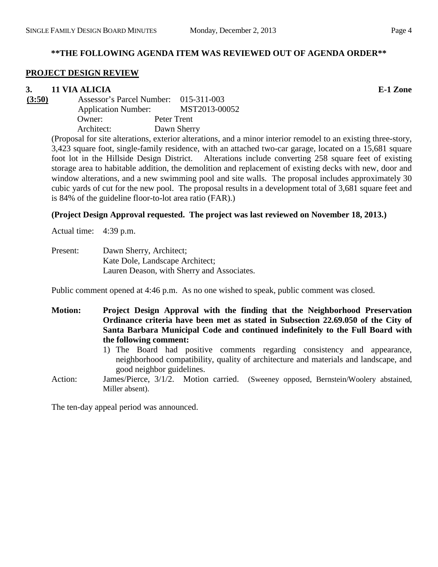# **\*\*THE FOLLOWING AGENDA ITEM WAS REVIEWED OUT OF AGENDA ORDER\*\***

# **PROJECT DESIGN REVIEW**

**3. 11 VIA ALICIA E-1 Zone**

**(3:50)** Assessor's Parcel Number: 015-311-003 Application Number: MST2013-00052 Owner: Peter Trent Architect: Dawn Sherry

(Proposal for site alterations, exterior alterations, and a minor interior remodel to an existing three-story, 3,423 square foot, single-family residence, with an attached two-car garage, located on a 15,681 square foot lot in the Hillside Design District. Alterations include converting 258 square feet of existing storage area to habitable addition, the demolition and replacement of existing decks with new, door and window alterations, and a new swimming pool and site walls. The proposal includes approximately 30 cubic yards of cut for the new pool. The proposal results in a development total of 3,681 square feet and is 84% of the guideline floor-to-lot area ratio (FAR).)

# **(Project Design Approval requested. The project was last reviewed on November 18, 2013.)**

Actual time: 4:39 p.m.

Present: Dawn Sherry, Architect; Kate Dole, Landscape Architect; Lauren Deason, with Sherry and Associates.

Public comment opened at 4:46 p.m. As no one wished to speak, public comment was closed.

- **Motion: Project Design Approval with the finding that the Neighborhood Preservation Ordinance criteria have been met as stated in Subsection 22.69.050 of the City of Santa Barbara Municipal Code and continued indefinitely to the Full Board with the following comment:**
	- 1) The Board had positive comments regarding consistency and appearance, neighborhood compatibility, quality of architecture and materials and landscape, and good neighbor guidelines.
- Action: James/Pierce, 3/1/2. Motion carried. (Sweeney opposed, Bernstein/Woolery abstained, Miller absent).

The ten-day appeal period was announced.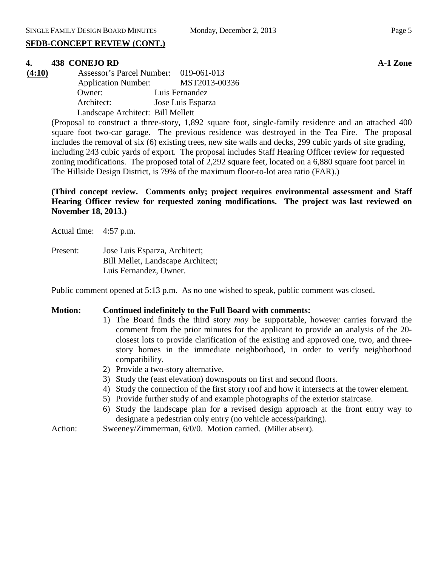# **SFDB-CONCEPT REVIEW (CONT.)**

# **4. 438 CONEJO RD A-1 Zone**

**(4:10)** Assessor's Parcel Number: 019-061-013 Application Number: MST2013-00336 Owner: Luis Fernandez Architect: Jose Luis Esparza Landscape Architect: Bill Mellett

> (Proposal to construct a three-story, 1,892 square foot, single-family residence and an attached 400 square foot two-car garage. The previous residence was destroyed in the Tea Fire. The proposal includes the removal of six (6) existing trees, new site walls and decks, 299 cubic yards of site grading, including 243 cubic yards of export. The proposal includes Staff Hearing Officer review for requested zoning modifications. The proposed total of 2,292 square feet, located on a 6,880 square foot parcel in The Hillside Design District, is 79% of the maximum floor-to-lot area ratio (FAR).)

> **(Third concept review. Comments only; project requires environmental assessment and Staff Hearing Officer review for requested zoning modifications. The project was last reviewed on November 18, 2013.)**

Actual time: 4:57 p.m.

Present: Jose Luis Esparza, Architect; Bill Mellet, Landscape Architect; Luis Fernandez, Owner.

Public comment opened at 5:13 p.m. As no one wished to speak, public comment was closed.

#### **Motion: Continued indefinitely to the Full Board with comments:**

- 1) The Board finds the third story *may* be supportable, however carries forward the comment from the prior minutes for the applicant to provide an analysis of the 20 closest lots to provide clarification of the existing and approved one, two, and threestory homes in the immediate neighborhood, in order to verify neighborhood compatibility.
- 2) Provide a two-story alternative.
- 3) Study the (east elevation) downspouts on first and second floors.
- 4) Study the connection of the first story roof and how it intersects at the tower element.
- 5) Provide further study of and example photographs of the exterior staircase.
- 6) Study the landscape plan for a revised design approach at the front entry way to designate a pedestrian only entry (no vehicle access/parking).
- Action: Sweeney/Zimmerman, 6/0/0. Motion carried. (Miller absent).

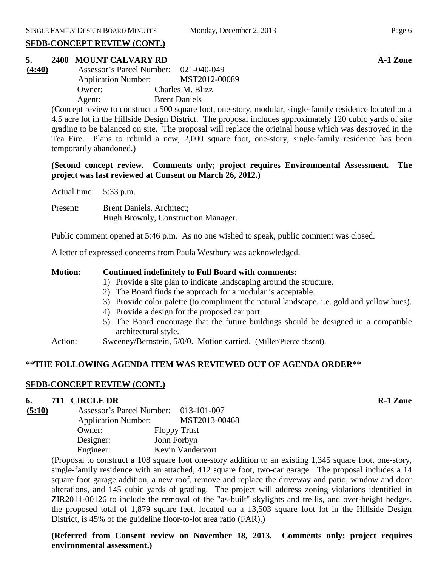## **SFDB-CONCEPT REVIEW (CONT.)**

# **5. 2400 MOUNT CALVARY RD A-1 Zone**

| (4:40) | Assessor's Parcel Number: 021-040-049 |                      |
|--------|---------------------------------------|----------------------|
|        | <b>Application Number:</b>            | MST2012-00089        |
|        | Owner:                                | Charles M. Blizz     |
|        | Agent:                                | <b>Brent Daniels</b> |

(Concept review to construct a 500 square foot, one-story, modular, single-family residence located on a 4.5 acre lot in the Hillside Design District. The proposal includes approximately 120 cubic yards of site grading to be balanced on site. The proposal will replace the original house which was destroyed in the Tea Fire. Plans to rebuild a new, 2,000 square foot, one-story, single-family residence has been temporarily abandoned.)

**(Second concept review. Comments only; project requires Environmental Assessment. The project was last reviewed at Consent on March 26, 2012.)**

Actual time: 5:33 p.m.

Present: Brent Daniels, Architect; Hugh Brownly, Construction Manager.

Public comment opened at 5:46 p.m. As no one wished to speak, public comment was closed.

A letter of expressed concerns from Paula Westbury was acknowledged.

#### **Motion: Continued indefinitely to Full Board with comments:**

- 1) Provide a site plan to indicate landscaping around the structure.
- 2) The Board finds the approach for a modular is acceptable.
- 3) Provide color palette (to compliment the natural landscape, i.e. gold and yellow hues).
- 4) Provide a design for the proposed car port.
- 5) The Board encourage that the future buildings should be designed in a compatible architectural style.
- Action: Sweeney/Bernstein, 5/0/0. Motion carried. (Miller/Pierce absent).

# **\*\*THE FOLLOWING AGENDA ITEM WAS REVIEWED OUT OF AGENDA ORDER\*\***

#### **SFDB-CONCEPT REVIEW (CONT.)**

#### **6. 711 CIRCLE DR R-1 Zone**

| (5:10) | Assessor's Parcel Number: 013-101-007 |                     |
|--------|---------------------------------------|---------------------|
|        | <b>Application Number:</b>            | MST2013-00468       |
|        | Owner:                                | <b>Floppy Trust</b> |
|        | Designer:                             | John Forbyn         |
|        | Engineer:                             | Kevin Vandervort    |

(Proposal to construct a 108 square foot one-story addition to an existing 1,345 square foot, one-story, single-family residence with an attached, 412 square foot, two-car garage. The proposal includes a 14 square foot garage addition, a new roof, remove and replace the driveway and patio, window and door alterations, and 145 cubic yards of grading. The project will address zoning violations identified in ZIR2011-00126 to include the removal of the "as-built" skylights and trellis, and over-height hedges. the proposed total of 1,879 square feet, located on a 13,503 square foot lot in the Hillside Design District, is 45% of the guideline floor-to-lot area ratio (FAR).)

# **(Referred from Consent review on November 18, 2013. Comments only; project requires environmental assessment.)**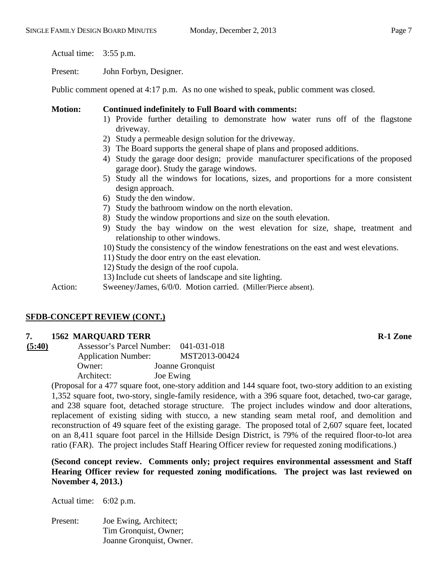Actual time: 3:55 p.m.

Present: John Forbyn, Designer.

Public comment opened at 4:17 p.m. As no one wished to speak, public comment was closed.

#### **Motion: Continued indefinitely to Full Board with comments:**

- 1) Provide further detailing to demonstrate how water runs off of the flagstone driveway.
- 2) Study a permeable design solution for the driveway.
- 3) The Board supports the general shape of plans and proposed additions.
- 4) Study the garage door design; provide manufacturer specifications of the proposed garage door). Study the garage windows.
- 5) Study all the windows for locations, sizes, and proportions for a more consistent design approach.
- 6) Study the den window.
- 7) Study the bathroom window on the north elevation.
- 8) Study the window proportions and size on the south elevation.
- 9) Study the bay window on the west elevation for size, shape, treatment and relationship to other windows.
- 10) Study the consistency of the window fenestrations on the east and west elevations.
- 11) Study the door entry on the east elevation.
- 12) Study the design of the roof cupola.
- 13) Include cut sheets of landscape and site lighting.

Action: Sweeney/James, 6/0/0. Motion carried. (Miller/Pierce absent).

# **SFDB-CONCEPT REVIEW (CONT.)**

#### **7. 1562 MARQUARD TERR R-1 Zone**

| (5:40) | Assessor's Parcel Number:  | 041-031-018      |
|--------|----------------------------|------------------|
|        | <b>Application Number:</b> | MST2013-00424    |
|        | Owner:                     | Joanne Gronquist |
|        | Architect:                 | Joe Ewing        |

(Proposal for a 477 square foot, one-story addition and 144 square foot, two-story addition to an existing 1,352 square foot, two-story, single-family residence, with a 396 square foot, detached, two-car garage, and 238 square foot, detached storage structure. The project includes window and door alterations, replacement of existing siding with stucco, a new standing seam metal roof, and demolition and reconstruction of 49 square feet of the existing garage. The proposed total of 2,607 square feet, located on an 8,411 square foot parcel in the Hillside Design District, is 79% of the required floor-to-lot area ratio (FAR). The project includes Staff Hearing Officer review for requested zoning modifications.)

**(Second concept review. Comments only; project requires environmental assessment and Staff Hearing Officer review for requested zoning modifications. The project was last reviewed on November 4, 2013.)**

Actual time: 6:02 p.m.

Present: Joe Ewing, Architect; Tim Gronquist, Owner; Joanne Gronquist, Owner.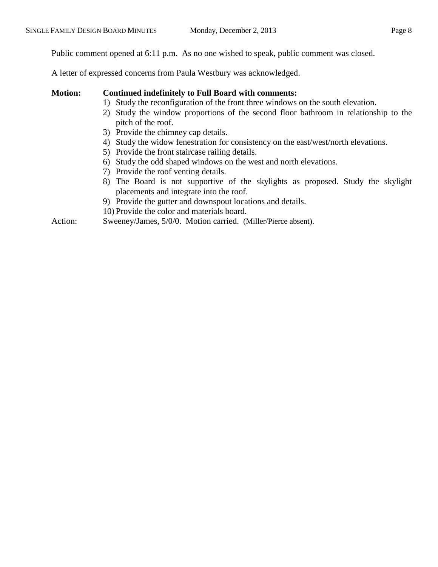Public comment opened at 6:11 p.m. As no one wished to speak, public comment was closed.

A letter of expressed concerns from Paula Westbury was acknowledged.

- **Motion: Continued indefinitely to Full Board with comments:** 
	- 1) Study the reconfiguration of the front three windows on the south elevation.
	- 2) Study the window proportions of the second floor bathroom in relationship to the pitch of the roof.
	- 3) Provide the chimney cap details.
	- 4) Study the widow fenestration for consistency on the east/west/north elevations.
	- 5) Provide the front staircase railing details.
	- 6) Study the odd shaped windows on the west and north elevations.
	- 7) Provide the roof venting details.
	- 8) The Board is not supportive of the skylights as proposed. Study the skylight placements and integrate into the roof.
	- 9) Provide the gutter and downspout locations and details.
	- 10) Provide the color and materials board.

Action: Sweeney/James, 5/0/0. Motion carried. (Miller/Pierce absent).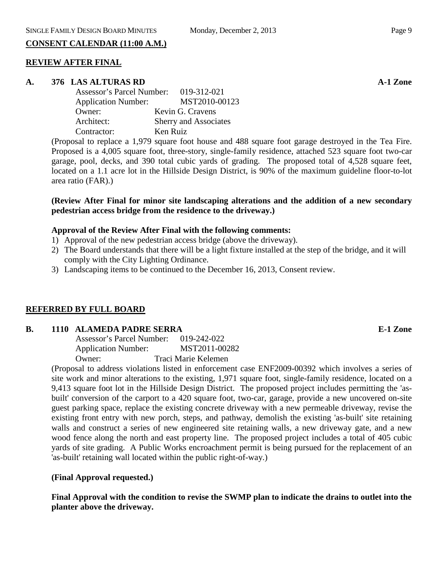# **CONSENT CALENDAR (11:00 A.M.)**

# **REVIEW AFTER FINAL**

# **A. 376 LAS ALTURAS RD A-1 Zone**

| <b>Assessor's Parcel Number:</b> | 019-312-021           |
|----------------------------------|-----------------------|
| <b>Application Number:</b>       | MST2010-00123         |
| Owner:                           | Kevin G. Cravens      |
| Architect:                       | Sherry and Associates |
| Contractor:                      | Ken Ruiz              |

(Proposal to replace a 1,979 square foot house and 488 square foot garage destroyed in the Tea Fire. Proposed is a 4,005 square foot, three-story, single-family residence, attached 523 square foot two-car garage, pool, decks, and 390 total cubic yards of grading. The proposed total of 4,528 square feet, located on a 1.1 acre lot in the Hillside Design District, is 90% of the maximum guideline floor-to-lot area ratio (FAR).)

# **(Review After Final for minor site landscaping alterations and the addition of a new secondary pedestrian access bridge from the residence to the driveway.)**

# **Approval of the Review After Final with the following comments:**

- 1) Approval of the new pedestrian access bridge (above the driveway).
- 2) The Board understands that there will be a light fixture installed at the step of the bridge, and it will comply with the City Lighting Ordinance.
- 3) Landscaping items to be continued to the December 16, 2013, Consent review.

# **REFERRED BY FULL BOARD**

# **B. 1110 ALAMEDA PADRE SERRA E-1 Zone**

Assessor's Parcel Number: 019-242-022 Application Number: MST2011-00282 Owner: Traci Marie Kelemen

(Proposal to address violations listed in enforcement case ENF2009-00392 which involves a series of site work and minor alterations to the existing, 1,971 square foot, single-family residence, located on a 9,413 square foot lot in the Hillside Design District. The proposed project includes permitting the 'asbuilt' conversion of the carport to a 420 square foot, two-car, garage, provide a new uncovered on-site guest parking space, replace the existing concrete driveway with a new permeable driveway, revise the existing front entry with new porch, steps, and pathway, demolish the existing 'as-built' site retaining walls and construct a series of new engineered site retaining walls, a new driveway gate, and a new wood fence along the north and east property line. The proposed project includes a total of 405 cubic yards of site grading. A Public Works encroachment permit is being pursued for the replacement of an 'as-built' retaining wall located within the public right-of-way.)

# **(Final Approval requested.)**

**Final Approval with the condition to revise the SWMP plan to indicate the drains to outlet into the planter above the driveway.**